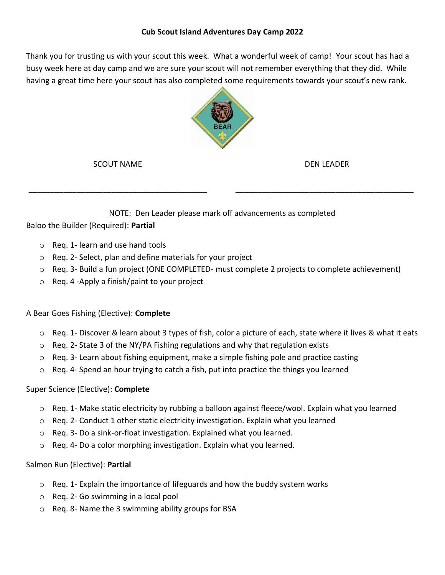Thank you for trusting us with your scout this week. What a wonderful week of camp! Your scout has had a busy week here at day camp and we are sure your scout will not remember everything that they did. While having a great time here your scout has also completed some requirements towards your scout's new rank.



SCOUT NAME

\_\_\_\_\_\_\_\_\_\_\_\_\_\_\_\_\_\_\_\_\_\_\_\_\_\_\_\_\_\_\_\_\_\_\_\_\_\_\_\_\_

DEN LEADER

\_\_\_\_\_\_\_\_\_\_\_\_\_\_\_\_\_\_\_\_\_\_\_\_\_\_\_\_\_\_\_\_\_\_\_\_\_\_\_\_\_

## NOTE: Den Leader please mark off advancements as completed

Baloo the Builder (Required): **Partial**

- o Req. 1- learn and use hand tools
- o Req. 2- Select, plan and define materials for your project
- $\circ$  Reg. 3- Build a fun project (ONE COMPLETED- must complete 2 projects to complete achievement)
- o Req. 4 -Apply a finish/paint to your project

## A Bear Goes Fishing (Elective): **Complete**

- $\circ$  Req. 1- Discover & learn about 3 types of fish, color a picture of each, state where it lives & what it eats
- $\circ$  Reg. 2- State 3 of the NY/PA Fishing regulations and why that regulation exists
- $\circ$  Req. 3- Learn about fishing equipment, make a simple fishing pole and practice casting
- $\circ$  Req. 4- Spend an hour trying to catch a fish, put into practice the things you learned

## Super Science (Elective): **Complete**

- $\circ$  Reg. 1- Make static electricity by rubbing a balloon against fleece/wool. Explain what you learned
- $\circ$  Reg. 2- Conduct 1 other static electricity investigation. Explain what you learned
- $\circ$  Reg. 3- Do a sink-or-float investigation. Explained what you learned.
- o Req. 4- Do a color morphing investigation. Explain what you learned.

## Salmon Run (Elective): **Partial**

- $\circ$  Req. 1- Explain the importance of lifeguards and how the buddy system works
- o Req. 2- Go swimming in a local pool
- o Req. 8- Name the 3 swimming ability groups for BSA